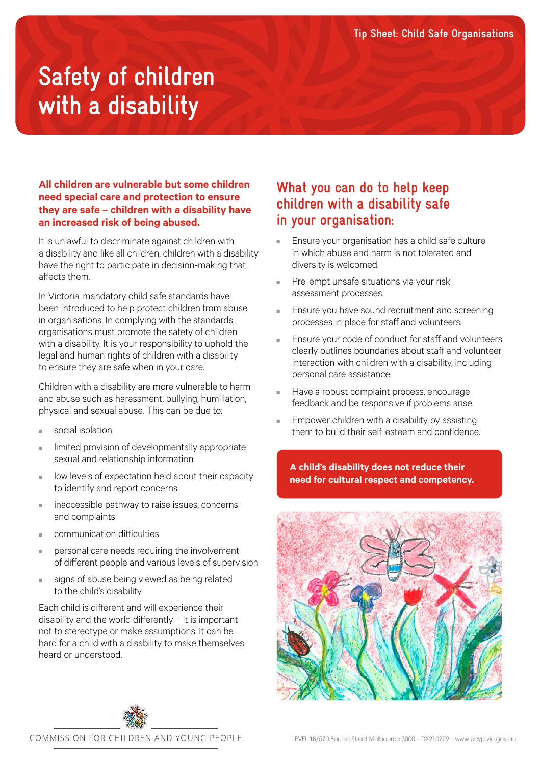# **Safety of children with a disability**

### **All children are vulnerable but some children need special care and protection to ensure they are safe – children with a disability have an increased risk of being abused.**

It is unlawful to discriminate against children with a disability and like all children, children with a disability have the right to participate in decision-making that affects them.

In Victoria, mandatory child safe standards have been introduced to help protect children from abuse in organisations. In complying with the standards, organisations must promote the safety of children with a disability. It is your responsibility to uphold the legal and human rights of children with a disability to ensure they are safe when in your care.

Children with a disability are more vulnerable to harm and abuse such as harassment, bullying, humiliation, physical and sexual abuse. This can be due to:

- social isolation
- limited provision of developmentally appropriate sexual and relationship information
- low levels of expectation held about their capacity to identify and report concerns
- inaccessible pathway to raise issues, concerns and complaints
- communication difficulties
- personal care needs requiring the involvement of different people and various levels of supervision
- signs of abuse being viewed as being related to the child's disability.

Each child is different and will experience their disability and the world differently – it is important not to stereotype or make assumptions. It can be hard for a child with a disability to make themselves heard or understood.

## **What you can do to help keep children with a disability safe in your organisation:**

- Ensure your organisation has a child safe culture in which abuse and harm is not tolerated and diversity is welcomed.
- Pre-empt unsafe situations via your risk assessment processes.
- Ensure you have sound recruitment and screening processes in place for staff and volunteers.
- Ensure your code of conduct for staff and volunteers clearly outlines boundaries about staff and volunteer interaction with children with a disability, including personal care assistance.
- Have a robust complaint process, encourage feedback and be responsive if problems arise.
- Empower children with a disability by assisting them to build their self-esteem and confidence.

**A child's disability does not reduce their need for cultural respect and competency.**